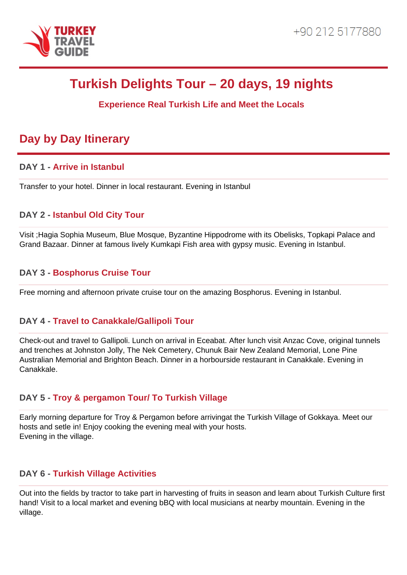

# **Turkish Delights Tour – 20 days, 19 nights**

# **Experience Real Turkish Life and Meet the Locals**

# **Day by Day Itinerary**

#### **DAY 1 - Arrive in Istanbul**

Transfer to your hotel. Dinner in local restaurant. Evening in Istanbul

# **DAY 2 - Istanbul Old City Tour**

Visit ;Hagia Sophia Museum, Blue Mosque, Byzantine Hippodrome with its Obelisks, Topkapi Palace and Grand Bazaar. Dinner at famous lively Kumkapi Fish area with gypsy music. Evening in Istanbul.

# **DAY 3 - Bosphorus Cruise Tour**

Free morning and afternoon private cruise tour on the amazing Bosphorus. Evening in Istanbul.

#### **DAY 4 - Travel to Canakkale/Gallipoli Tour**

Check-out and travel to Gallipoli. Lunch on arrival in Eceabat. After lunch visit Anzac Cove, original tunnels and trenches at Johnston Jolly, The Nek Cemetery, Chunuk Bair New Zealand Memorial, Lone Pine Australian Memorial and Brighton Beach. Dinner in a horbourside restaurant in Canakkale. Evening in Canakkale.

# **DAY 5 - Troy & pergamon Tour/ To Turkish Village**

Early morning departure for Troy & Pergamon before arrivingat the Turkish Village of Gokkaya. Meet our hosts and setle in! Enjoy cooking the evening meal with your hosts. Evening in the village.

#### **DAY 6 - Turkish Village Activities**

Out into the fields by tractor to take part in harvesting of fruits in season and learn about Turkish Culture first hand! Visit to a local market and evening bBQ with local musicians at nearby mountain. Evening in the village.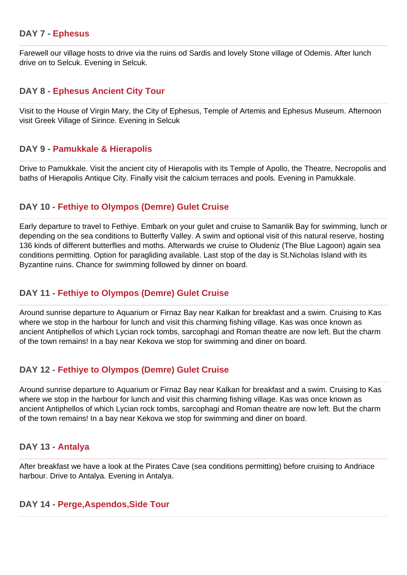#### **DAY 7 - Ephesus**

Farewell our village hosts to drive via the ruins od Sardis and lovely Stone village of Odemis. After lunch drive on to Selcuk. Evening in Selcuk.

#### **DAY 8 - Ephesus Ancient City Tour**

Visit to the House of Virgin Mary, the City of Ephesus, Temple of Artemis and Ephesus Museum. Afternoon visit Greek Village of Sirince. Evening in Selcuk

#### **DAY 9 - Pamukkale & Hierapolis**

Drive to Pamukkale. Visit the ancient city of Hierapolis with its Temple of Apollo, the Theatre, Necropolis and baths of Hierapolis Antique City. Finally visit the calcium terraces and pools. Evening in Pamukkale.

#### **DAY 10 - Fethiye to Olympos (Demre) Gulet Cruise**

Early departure to travel to Fethiye. Embark on your gulet and cruise to Samanlik Bay for swimming, lunch or depending on the sea conditions to Butterfly Valley. A swim and optional visit of this natural reserve, hosting 136 kinds of different butterflies and moths. Afterwards we cruise to Oludeniz (The Blue Lagoon) again sea conditions permitting. Option for paragliding available. Last stop of the day is St.Nicholas Island with its Byzantine ruins. Chance for swimming followed by dinner on board.

#### **DAY 11 - Fethiye to Olympos (Demre) Gulet Cruise**

Around sunrise departure to Aquarium or Firnaz Bay near Kalkan for breakfast and a swim. Cruising to Kas where we stop in the harbour for lunch and visit this charming fishing village. Kas was once known as ancient Antiphellos of which Lycian rock tombs, sarcophagi and Roman theatre are now left. But the charm of the town remains! In a bay near Kekova we stop for swimming and diner on board.

#### **DAY 12 - Fethiye to Olympos (Demre) Gulet Cruise**

Around sunrise departure to Aquarium or Firnaz Bay near Kalkan for breakfast and a swim. Cruising to Kas where we stop in the harbour for lunch and visit this charming fishing village. Kas was once known as ancient Antiphellos of which Lycian rock tombs, sarcophagi and Roman theatre are now left. But the charm of the town remains! In a bay near Kekova we stop for swimming and diner on board.

#### **DAY 13 - Antalya**

After breakfast we have a look at the Pirates Cave (sea conditions permitting) before cruising to Andriace harbour. Drive to Antalya. Evening in Antalya.

#### **DAY 14 - Perge,Aspendos,Side Tour**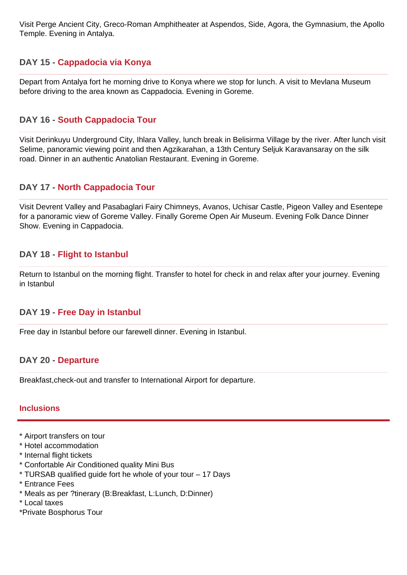Visit Perge Ancient City, Greco-Roman Amphitheater at Aspendos, Side, Agora, the Gymnasium, the Apollo Temple. Evening in Antalya.

# **DAY 15 - Cappadocia via Konya**

Depart from Antalya fort he morning drive to Konya where we stop for lunch. A visit to Mevlana Museum before driving to the area known as Cappadocia. Evening in Goreme.

#### **DAY 16 - South Cappadocia Tour**

Visit Derinkuyu Underground City, Ihlara Valley, lunch break in Belisirma Village by the river. After lunch visit Selime, panoramic viewing point and then Agzikarahan, a 13th Century Seljuk Karavansaray on the silk road. Dinner in an authentic Anatolian Restaurant. Evening in Goreme.

#### **DAY 17 - North Cappadocia Tour**

Visit Devrent Valley and Pasabaglari Fairy Chimneys, Avanos, Uchisar Castle, Pigeon Valley and Esentepe for a panoramic view of Goreme Valley. Finally Goreme Open Air Museum. Evening Folk Dance Dinner Show. Evening in Cappadocia.

#### **DAY 18 - Flight to Istanbul**

Return to Istanbul on the morning flight. Transfer to hotel for check in and relax after your journey. Evening in Istanbul

#### **DAY 19 - Free Day in Istanbul**

Free day in Istanbul before our farewell dinner. Evening in Istanbul.

#### **DAY 20 - Departure**

Breakfast,check-out and transfer to International Airport for departure.

#### **Inclusions**

- \* Airport transfers on tour
- \* Hotel accommodation
- \* Internal flight tickets
- \* Confortable Air Conditioned quality Mini Bus
- \* TURSAB qualified guide fort he whole of your tour 17 Days
- \* Entrance Fees
- \* Meals as per ?tinerary (B:Breakfast, L:Lunch, D:Dinner)
- \* Local taxes
- \*Private Bosphorus Tour